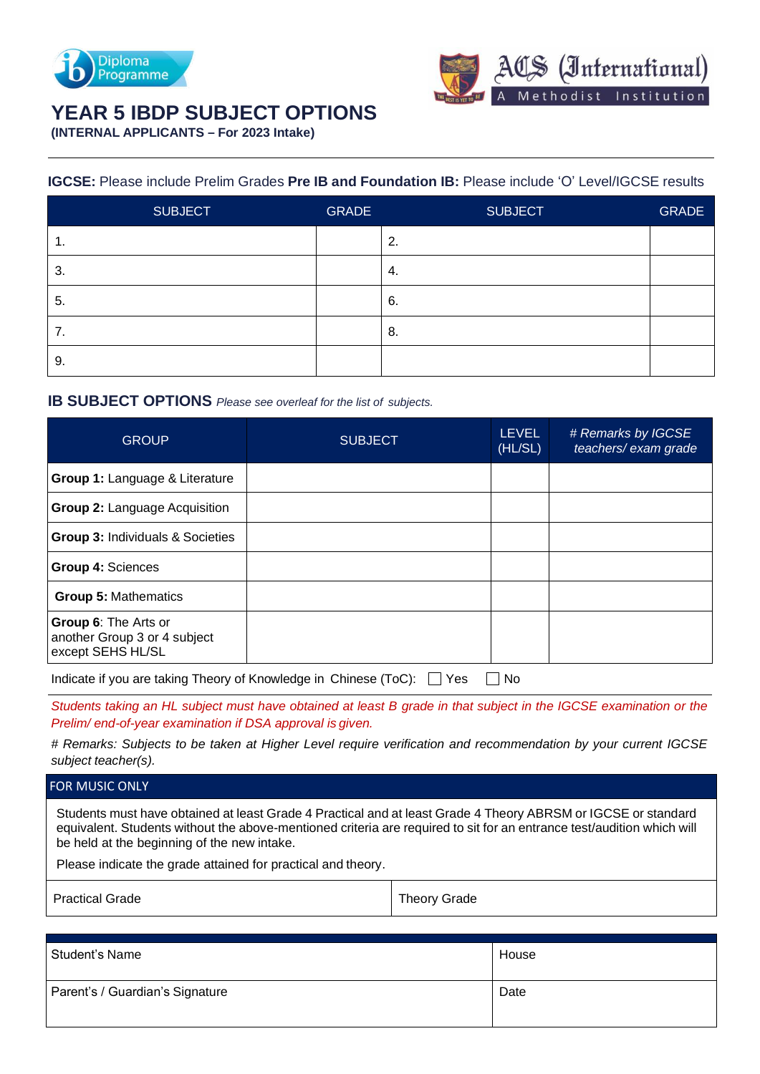



# **YEAR 5 IBDP SUBJECT OPTIONS**

**(INTERNAL APPLICANTS – For 2023 Intake)**

## **IGCSE:** Please include Prelim Grades **Pre IB and Foundation IB:** Please include 'O' Level/IGCSE results

|    | <b>SUBJECT</b> | <b>GRADE</b> | <b>SUBJECT</b> | <b>GRADE</b> |
|----|----------------|--------------|----------------|--------------|
| 1. |                |              | 2.             |              |
| 3. |                |              | 4.             |              |
| 5. |                |              | 6.             |              |
| 7. |                |              | 8.             |              |
| 9. |                |              |                |              |

## **IB SUBJECT OPTIONS** *Please see overleaf for the list of subjects.*

| <b>GROUP</b>                                                              | <b>SUBJECT</b> | <b>LEVEL</b><br>(HL/SL) | # Remarks by IGCSE<br>teachers/ exam grade |
|---------------------------------------------------------------------------|----------------|-------------------------|--------------------------------------------|
| Group 1: Language & Literature                                            |                |                         |                                            |
| <b>Group 2: Language Acquisition</b>                                      |                |                         |                                            |
| <b>Group 3: Individuals &amp; Societies</b>                               |                |                         |                                            |
| Group 4: Sciences                                                         |                |                         |                                            |
| <b>Group 5: Mathematics</b>                                               |                |                         |                                            |
| Group 6: The Arts or<br>another Group 3 or 4 subject<br>except SEHS HL/SL |                |                         |                                            |
| Indicate if you are taking Theory of Knowledge in Chinese (ToC):          | Yes            | No.                     |                                            |

*Students taking an HL subject must have obtained at least B grade in that subject in the IGCSE examination or the Prelim/ end-of-year examination if DSA approval isgiven.*

*# Remarks: Subjects to be taken at Higher Level require verification and recommendation by your current IGCSE subject teacher(s).*

### FOR MUSIC ONLY

Students must have obtained at least Grade 4 Practical and at least Grade 4 Theory ABRSM or IGCSE or standard equivalent. Students without the above-mentioned criteria are required to sit for an entrance test/audition which will be held at the beginning of the new intake.

Please indicate the grade attained for practical and theory.

Practical Grade Theory Grade Theory Grade

| Student's Name                  | House |
|---------------------------------|-------|
| Parent's / Guardian's Signature | Date  |